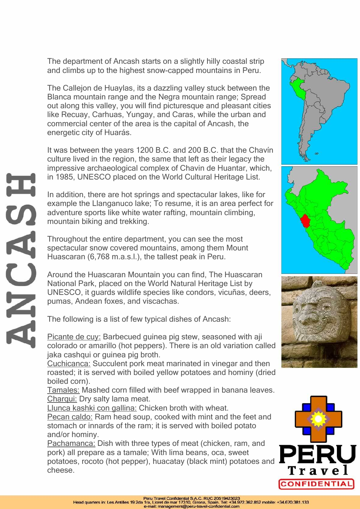The department of Ancash starts on a slightly hilly coastal strip and climbs up to the highest snow-capped mountains in Peru.

The Callejon de Huaylas, its a dazzling valley stuck between the Blanca mountain range and the Negra mountain range; Spread out along this valley, you will find picturesque and pleasant cities like Recuay, Carhuas, Yungay, and Caras, while the urban and commercial center of the area is the capital of Ancash, the energetic city of Huarás.

It was between the years 1200 B.C. and 200 B.C. that the Chavín culture lived in the region, the same that left as their legacy the impressive archaeological complex of Chavin de Huantar, which, in 1985, UNESCO placed on the World Cultural Heritage List.

In addition, there are hot springs and spectacular lakes, like for example the Llanganuco lake; To resume, it is an area perfect for adventure sports like white water rafting, mountain climbing, mountain biking and trekking.

Throughout the entire department, you can see the most spectacular snow covered mountains, among them Mount Huascaran (6,768 m.a.s.l.), the tallest peak in Peru.

Around the Huascaran Mountain you can find, The Huascaran National Park, placed on the World Natural Heritage List by UNESCO, it guards wildlife species like condors, vicuñas, deers, pumas, Andean foxes, and viscachas.

The following is a list of few typical dishes of Ancash:

Picante de cuy: Barbecued guinea pig stew, seasoned with aji colorado or amarillo (hot peppers). There is an old variation called jaka cashqui or quinea pig broth.

Cuchicanca: Succulent pork meat marinated in vinegar and then roasted; it is served with boiled yellow potatoes and hominy (dried boiled corn).

Tamales: Mashed corn filled with beef wrapped in banana leaves. Charqui: Dry salty lama meat.

Llunca kashki con gallina: Chicken broth with wheat.

Pecan caldo: Ram head soup, cooked with mint and the feet and stomach or innards of the ram; it is served with boiled potato and/or hominy.

Pachamanca: Dish with three types of meat (chicken, ram, and pork) all prepare as a tamale; With lima beans, oca, sweet potatoes, rocoto (hot pepper), huacatay (black mint) potatoes and cheese.